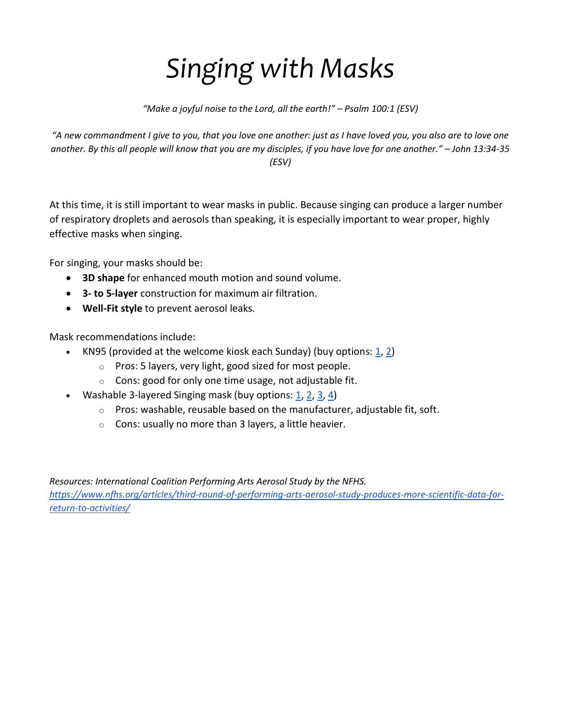## *Singing with Masks*

*"Make a joyful noise to the Lord, all the earth!" – Psalm 100:1 (ESV)*

*"A new commandment I give to you, that you love one another: just as I have loved you, you also are to love one another. By this all people will know that you are my disciples, if you have love for one another." – John 13:34-35 (ESV)*

At this time, it is still important to wear masks in public. Because singing can produce a larger number of respiratory droplets and aerosols than speaking, it is especially important to wear proper, highly effective masks when singing.

For singing, your masks should be:

- **3D shape** for enhanced mouth motion and sound volume.
- **3- to 5-layer** construction for maximum air filtration.
- **Well-Fit style** to prevent aerosol leaks.

Mask recommendations include:

- KN95 (provided at the welcome kiosk each Sunday) (buy options:  $\underline{1}$ ,  $\underline{2}$ )
	- $\circ$  Pros: 5 layers, very light, good sized for most people.
	- $\circ$  Cons: good for only one time usage, not adjustable fit.
- Washable 3-layered Singing mask (buy options:  $1, 2, 3, 4$  $1, 2, 3, 4$  $1, 2, 3, 4$  $1, 2, 3, 4$  $1, 2, 3, 4$  $1, 2, 3, 4$ )
	- $\circ$  Pros: washable, reusable based on the manufacturer, adjustable fit, soft.
	- $\circ$  Cons: usually no more than 3 layers, a little heavier.

*Resources: International Coalition Performing Arts Aerosol Study by the NFHS.*

*[https://www.nfhs.org/articles/third-round-of-performing-arts-aerosol-study-produces-more-scientific-data-for](https://www.nfhs.org/articles/third-round-of-performing-arts-aerosol-study-produces-more-scientific-data-for-return-to-activities/)[return-to-activities/](https://www.nfhs.org/articles/third-round-of-performing-arts-aerosol-study-produces-more-scientific-data-for-return-to-activities/)*